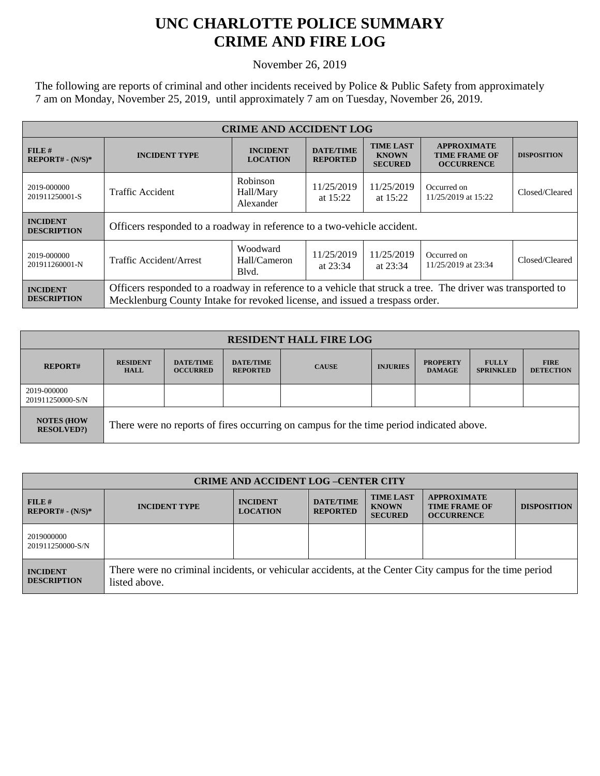## **UNC CHARLOTTE POLICE SUMMARY CRIME AND FIRE LOG**

November 26, 2019

The following are reports of criminal and other incidents received by Police & Public Safety from approximately 7 am on Monday, November 25, 2019, until approximately 7 am on Tuesday, November 26, 2019.

| <b>CRIME AND ACCIDENT LOG</b>         |                                                                                                                                                                                            |                                                                                            |                                     |                                                    |                                                                 |                    |  |
|---------------------------------------|--------------------------------------------------------------------------------------------------------------------------------------------------------------------------------------------|--------------------------------------------------------------------------------------------|-------------------------------------|----------------------------------------------------|-----------------------------------------------------------------|--------------------|--|
| FILE#<br>$REPORT# - (N/S)*$           | <b>INCIDENT TYPE</b>                                                                                                                                                                       | <b>INCIDENT</b><br><b>LOCATION</b>                                                         | <b>DATE/TIME</b><br><b>REPORTED</b> | <b>TIME LAST</b><br><b>KNOWN</b><br><b>SECURED</b> | <b>APPROXIMATE</b><br><b>TIME FRAME OF</b><br><b>OCCURRENCE</b> | <b>DISPOSITION</b> |  |
| 2019-000000<br>201911250001-S         | <b>Traffic Accident</b>                                                                                                                                                                    | Robinson<br>11/25/2019<br>11/25/2019<br>Hall/Mary<br>at $15:22$<br>at $15:22$<br>Alexander |                                     | Occurred on<br>11/25/2019 at 15:22                 | Closed/Cleared                                                  |                    |  |
| <b>INCIDENT</b><br><b>DESCRIPTION</b> | Officers responded to a roadway in reference to a two-vehicle accident.                                                                                                                    |                                                                                            |                                     |                                                    |                                                                 |                    |  |
| 2019-000000<br>201911260001-N         | Traffic Accident/Arrest                                                                                                                                                                    | Woodward<br>Hall/Cameron<br>Blvd.                                                          | 11/25/2019<br>at $23:34$            | 11/25/2019<br>at 23:34                             | Occurred on<br>11/25/2019 at 23:34                              | Closed/Cleared     |  |
| <b>INCIDENT</b><br><b>DESCRIPTION</b> | Officers responded to a roadway in reference to a vehicle that struck a tree. The driver was transported to<br>Mecklenburg County Intake for revoked license, and issued a trespass order. |                                                                                            |                                     |                                                    |                                                                 |                    |  |

| <b>RESIDENT HALL FIRE LOG</b>         |                                                                                         |                                     |                                     |              |                 |                                  |                                  |                                 |
|---------------------------------------|-----------------------------------------------------------------------------------------|-------------------------------------|-------------------------------------|--------------|-----------------|----------------------------------|----------------------------------|---------------------------------|
| <b>REPORT#</b>                        | <b>RESIDENT</b><br><b>HALL</b>                                                          | <b>DATE/TIME</b><br><b>OCCURRED</b> | <b>DATE/TIME</b><br><b>REPORTED</b> | <b>CAUSE</b> | <b>INJURIES</b> | <b>PROPERTY</b><br><b>DAMAGE</b> | <b>FULLY</b><br><b>SPRINKLED</b> | <b>FIRE</b><br><b>DETECTION</b> |
| 2019-000000<br>201911250000-S/N       |                                                                                         |                                     |                                     |              |                 |                                  |                                  |                                 |
| <b>NOTES (HOW</b><br><b>RESOLVED?</b> | There were no reports of fires occurring on campus for the time period indicated above. |                                     |                                     |              |                 |                                  |                                  |                                 |

| <b>CRIME AND ACCIDENT LOG-CENTER CITY</b> |                                                                                                                          |                                    |                                     |                                                    |                                                                 |                    |
|-------------------------------------------|--------------------------------------------------------------------------------------------------------------------------|------------------------------------|-------------------------------------|----------------------------------------------------|-----------------------------------------------------------------|--------------------|
| FILE H<br>$REPORT# - (N/S)*$              | <b>INCIDENT TYPE</b>                                                                                                     | <b>INCIDENT</b><br><b>LOCATION</b> | <b>DATE/TIME</b><br><b>REPORTED</b> | <b>TIME LAST</b><br><b>KNOWN</b><br><b>SECURED</b> | <b>APPROXIMATE</b><br><b>TIME FRAME OF</b><br><b>OCCURRENCE</b> | <b>DISPOSITION</b> |
| 2019000000<br>201911250000-S/N            |                                                                                                                          |                                    |                                     |                                                    |                                                                 |                    |
| <b>INCIDENT</b><br><b>DESCRIPTION</b>     | There were no criminal incidents, or vehicular accidents, at the Center City campus for the time period<br>listed above. |                                    |                                     |                                                    |                                                                 |                    |